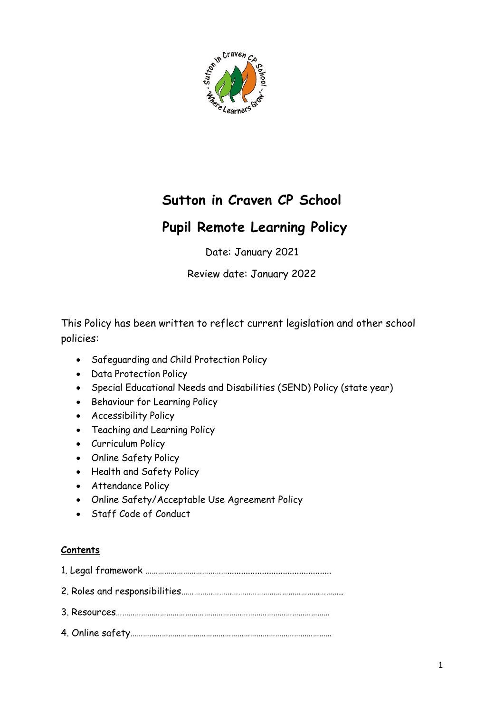

# **Sutton in Craven CP School**

# **Pupil Remote Learning Policy**

Date: January 2021

Review date: January 2022

This Policy has been written to reflect current legislation and other school policies:

- Safeguarding and Child Protection Policy
- Data Protection Policy
- Special Educational Needs and Disabilities (SEND) Policy (state year)
- Behaviour for Learning Policy
- Accessibility Policy
- Teaching and Learning Policy
- Curriculum Policy
- Online Safety Policy
- Health and Safety Policy
- **•** Attendance Policy
- Online Safety/Acceptable Use Agreement Policy
- Staff Code of Conduct

## **Contents**

- 1. Legal framework …………………………………............................................. 2. Roles and responsibilities………………………………………………………………….. 3. Resources…………………………………………………………………………………………
- 4. Online safety……………………………………………………………………………………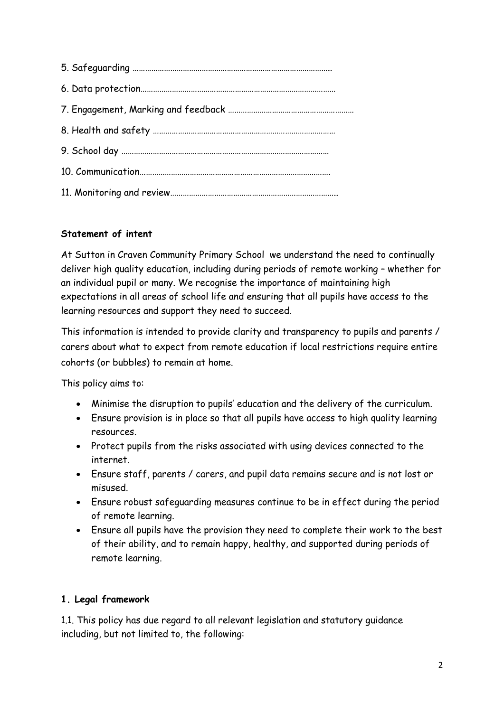## **Statement of intent**

At Sutton in Craven Community Primary School we understand the need to continually deliver high quality education, including during periods of remote working – whether for an individual pupil or many. We recognise the importance of maintaining high expectations in all areas of school life and ensuring that all pupils have access to the learning resources and support they need to succeed.

This information is intended to provide clarity and transparency to pupils and parents / carers about what to expect from remote education if local restrictions require entire cohorts (or bubbles) to remain at home.

This policy aims to:

- Minimise the disruption to pupils' education and the delivery of the curriculum.
- Ensure provision is in place so that all pupils have access to high quality learning resources.
- Protect pupils from the risks associated with using devices connected to the internet.
- Ensure staff, parents / carers, and pupil data remains secure and is not lost or misused.
- Ensure robust safeguarding measures continue to be in effect during the period of remote learning.
- Ensure all pupils have the provision they need to complete their work to the best of their ability, and to remain happy, healthy, and supported during periods of remote learning.

## **1. Legal framework**

1.1. This policy has due regard to all relevant legislation and statutory guidance including, but not limited to, the following: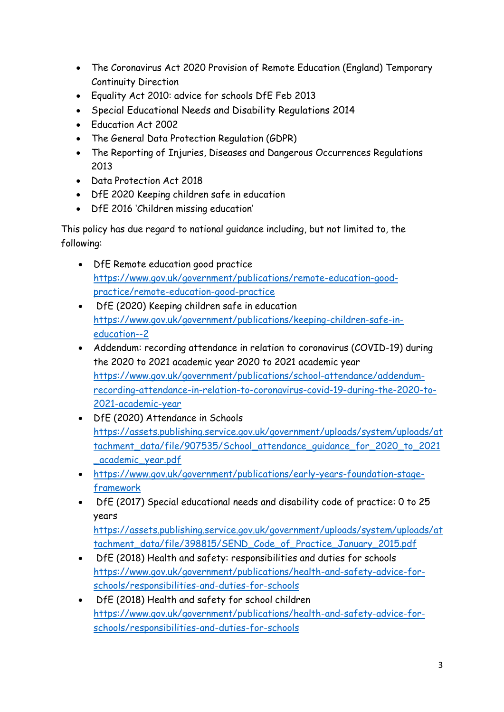- The Coronavirus Act 2020 Provision of Remote Education (England) Temporary Continuity Direction
- Equality Act 2010: advice for schools DfE Feb 2013
- Special Educational Needs and Disability Regulations 2014
- Education Act 2002
- The General Data Protection Regulation (GDPR)
- The Reporting of Injuries, Diseases and Dangerous Occurrences Regulations 2013
- Data Protection Act 2018
- DfE 2020 Keeping children safe in education
- DfE 2016 'Children missing education'

This policy has due regard to national guidance including, but not limited to, the following:

- DfE Remote education good practice [https://www.gov.uk/government/publications/remote-education-good](https://www.gov.uk/government/publications/remote-education-good-practice/remote-education-good-practice)[practice/remote-education-good-practice](https://www.gov.uk/government/publications/remote-education-good-practice/remote-education-good-practice)
- DfE (2020) Keeping children safe in education [https://www.gov.uk/government/publications/keeping-children-safe-in](https://www.gov.uk/government/publications/keeping-children-safe-in-education--2)[education--2](https://www.gov.uk/government/publications/keeping-children-safe-in-education--2)
- Addendum: recording attendance in relation to coronavirus (COVID-19) during the 2020 to 2021 academic year 2020 to 2021 academic year [https://www.gov.uk/government/publications/school-attendance/addendum](https://www.gov.uk/government/publications/school-attendance/addendum-recording-attendance-in-relation-to-coronavirus-covid-19-during-the-2020-to-2021-academic-year)[recording-attendance-in-relation-to-coronavirus-covid-19-during-the-2020-to-](https://www.gov.uk/government/publications/school-attendance/addendum-recording-attendance-in-relation-to-coronavirus-covid-19-during-the-2020-to-2021-academic-year)[2021-academic-year](https://www.gov.uk/government/publications/school-attendance/addendum-recording-attendance-in-relation-to-coronavirus-covid-19-during-the-2020-to-2021-academic-year)
- DfE (2020) Attendance in Schools [https://assets.publishing.service.gov.uk/government/uploads/system/uploads/at](https://assets.publishing.service.gov.uk/government/uploads/system/uploads/attachment_data/file/907535/School_attendance_guidance_for_2020_to_2021_academic_year.pdf) [tachment\\_data/file/907535/School\\_attendance\\_guidance\\_for\\_2020\\_to\\_2021](https://assets.publishing.service.gov.uk/government/uploads/system/uploads/attachment_data/file/907535/School_attendance_guidance_for_2020_to_2021_academic_year.pdf) [\\_academic\\_year.pdf](https://assets.publishing.service.gov.uk/government/uploads/system/uploads/attachment_data/file/907535/School_attendance_guidance_for_2020_to_2021_academic_year.pdf)
- [https://www.gov.uk/government/publications/early-years-foundation-stage](https://www.gov.uk/government/publications/early-years-foundation-stage-framework)[framework](https://www.gov.uk/government/publications/early-years-foundation-stage-framework)
- DfE (2017) Special educational needs and disability code of practice: 0 to 25 years

[https://assets.publishing.service.gov.uk/government/uploads/system/uploads/at](https://assets.publishing.service.gov.uk/government/uploads/system/uploads/attachment_data/file/398815/SEND_Code_of_Practice_January_2015.pdf) [tachment\\_data/file/398815/SEND\\_Code\\_of\\_Practice\\_January\\_2015.pdf](https://assets.publishing.service.gov.uk/government/uploads/system/uploads/attachment_data/file/398815/SEND_Code_of_Practice_January_2015.pdf)

- DfE (2018) Health and safety: responsibilities and duties for schools [https://www.gov.uk/government/publications/health-and-safety-advice-for](https://www.gov.uk/government/publications/health-and-safety-advice-for-schools/responsibilities-and-duties-for-schools)[schools/responsibilities-and-duties-for-schools](https://www.gov.uk/government/publications/health-and-safety-advice-for-schools/responsibilities-and-duties-for-schools)
- DfE (2018) Health and safety for school children [https://www.gov.uk/government/publications/health-and-safety-advice-for](https://www.gov.uk/government/publications/health-and-safety-advice-for-schools/responsibilities-and-duties-for-schools)[schools/responsibilities-and-duties-for-schools](https://www.gov.uk/government/publications/health-and-safety-advice-for-schools/responsibilities-and-duties-for-schools)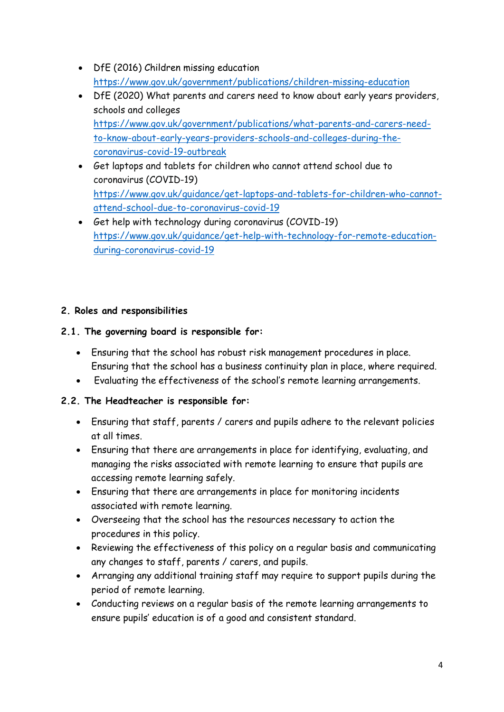- DfE (2016) Children missing education <https://www.gov.uk/government/publications/children-missing-education>
- DfE (2020) What parents and carers need to know about early years providers, schools and colleges [https://www.gov.uk/government/publications/what-parents-and-carers-need](https://www.gov.uk/government/publications/what-parents-and-carers-need-to-know-about-early-years-providers-schools-and-colleges-during-the-coronavirus-covid-19-outbreak)[to-know-about-early-years-providers-schools-and-colleges-during-the](https://www.gov.uk/government/publications/what-parents-and-carers-need-to-know-about-early-years-providers-schools-and-colleges-during-the-coronavirus-covid-19-outbreak)[coronavirus-covid-19-outbreak](https://www.gov.uk/government/publications/what-parents-and-carers-need-to-know-about-early-years-providers-schools-and-colleges-during-the-coronavirus-covid-19-outbreak)
- Get laptops and tablets for children who cannot attend school due to coronavirus (COVID-19) [https://www.gov.uk/guidance/get-laptops-and-tablets-for-children-who-cannot](https://www.gov.uk/guidance/get-laptops-and-tablets-for-children-who-cannot-attend-school-due-to-coronavirus-covid-19)[attend-school-due-to-coronavirus-covid-19](https://www.gov.uk/guidance/get-laptops-and-tablets-for-children-who-cannot-attend-school-due-to-coronavirus-covid-19)
- Get help with technology during coronavirus (COVID-19) [https://www.gov.uk/guidance/get-help-with-technology-for-remote-education](https://www.gov.uk/guidance/get-help-with-technology-for-remote-education-during-coronavirus-covid-19)[during-coronavirus-covid-19](https://www.gov.uk/guidance/get-help-with-technology-for-remote-education-during-coronavirus-covid-19)

# **2. Roles and responsibilities**

## **2.1. The governing board is responsible for:**

- Ensuring that the school has robust risk management procedures in place. Ensuring that the school has a business continuity plan in place, where required.
- Evaluating the effectiveness of the school's remote learning arrangements.

# **2.2. The Headteacher is responsible for:**

- Ensuring that staff, parents / carers and pupils adhere to the relevant policies at all times.
- Ensuring that there are arrangements in place for identifying, evaluating, and managing the risks associated with remote learning to ensure that pupils are accessing remote learning safely.
- Ensuring that there are arrangements in place for monitoring incidents associated with remote learning.
- Overseeing that the school has the resources necessary to action the procedures in this policy.
- Reviewing the effectiveness of this policy on a regular basis and communicating any changes to staff, parents / carers, and pupils.
- Arranging any additional training staff may require to support pupils during the period of remote learning.
- Conducting reviews on a regular basis of the remote learning arrangements to ensure pupils' education is of a good and consistent standard.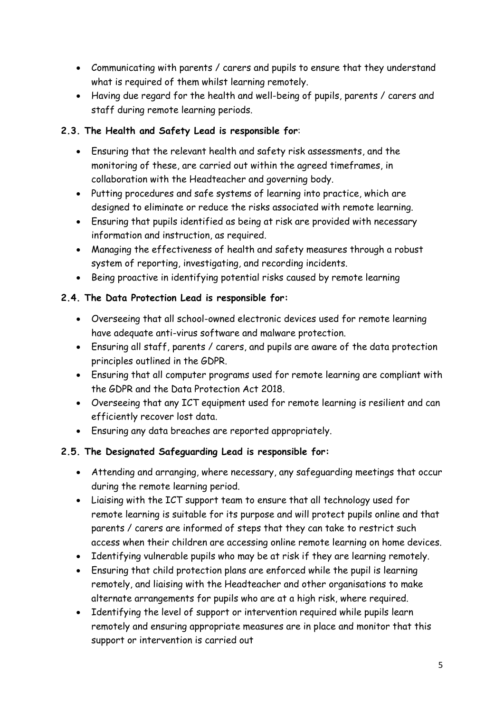- Communicating with parents / carers and pupils to ensure that they understand what is required of them whilst learning remotely.
- Having due regard for the health and well-being of pupils, parents / carers and staff during remote learning periods.

# **2.3. The Health and Safety Lead is responsible for**:

- Ensuring that the relevant health and safety risk assessments, and the monitoring of these, are carried out within the agreed timeframes, in collaboration with the Headteacher and governing body.
- Putting procedures and safe systems of learning into practice, which are designed to eliminate or reduce the risks associated with remote learning.
- Ensuring that pupils identified as being at risk are provided with necessary information and instruction, as required.
- Managing the effectiveness of health and safety measures through a robust system of reporting, investigating, and recording incidents.
- Being proactive in identifying potential risks caused by remote learning

## **2.4. The Data Protection Lead is responsible for:**

- Overseeing that all school-owned electronic devices used for remote learning have adequate anti-virus software and malware protection.
- Ensuring all staff, parents / carers, and pupils are aware of the data protection principles outlined in the GDPR.
- Ensuring that all computer programs used for remote learning are compliant with the GDPR and the Data Protection Act 2018.
- Overseeing that any ICT equipment used for remote learning is resilient and can efficiently recover lost data.
- Ensuring any data breaches are reported appropriately.

## **2.5. The Designated Safeguarding Lead is responsible for:**

- Attending and arranging, where necessary, any safeguarding meetings that occur during the remote learning period.
- Liaising with the ICT support team to ensure that all technology used for remote learning is suitable for its purpose and will protect pupils online and that parents / carers are informed of steps that they can take to restrict such access when their children are accessing online remote learning on home devices.
- Identifying vulnerable pupils who may be at risk if they are learning remotely.
- Ensuring that child protection plans are enforced while the pupil is learning remotely, and liaising with the Headteacher and other organisations to make alternate arrangements for pupils who are at a high risk, where required.
- Identifying the level of support or intervention required while pupils learn remotely and ensuring appropriate measures are in place and monitor that this support or intervention is carried out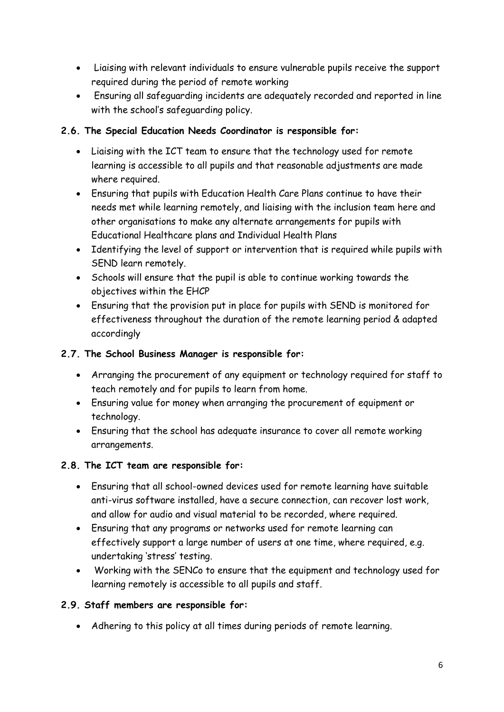- Liaising with relevant individuals to ensure vulnerable pupils receive the support required during the period of remote working
- Ensuring all safeguarding incidents are adequately recorded and reported in line with the school's safeguarding policy.

# **2.6. The Special Education Needs Coordinator is responsible for:**

- Liaising with the ICT team to ensure that the technology used for remote learning is accessible to all pupils and that reasonable adjustments are made where required.
- Ensuring that pupils with Education Health Care Plans continue to have their needs met while learning remotely, and liaising with the inclusion team here and other organisations to make any alternate arrangements for pupils with Educational Healthcare plans and Individual Health Plans
- Identifying the level of support or intervention that is required while pupils with SEND learn remotely.
- Schools will ensure that the pupil is able to continue working towards the objectives within the EHCP
- Ensuring that the provision put in place for pupils with SEND is monitored for effectiveness throughout the duration of the remote learning period & adapted accordingly

## **2.7. The School Business Manager is responsible for:**

- Arranging the procurement of any equipment or technology required for staff to teach remotely and for pupils to learn from home.
- Ensuring value for money when arranging the procurement of equipment or technology.
- Ensuring that the school has adequate insurance to cover all remote working arrangements.

## **2.8. The ICT team are responsible for:**

- Ensuring that all school-owned devices used for remote learning have suitable anti-virus software installed, have a secure connection, can recover lost work, and allow for audio and visual material to be recorded, where required.
- Ensuring that any programs or networks used for remote learning can effectively support a large number of users at one time, where required, e.g. undertaking 'stress' testing.
- Working with the SENCo to ensure that the equipment and technology used for learning remotely is accessible to all pupils and staff.

# **2.9. Staff members are responsible for:**

Adhering to this policy at all times during periods of remote learning.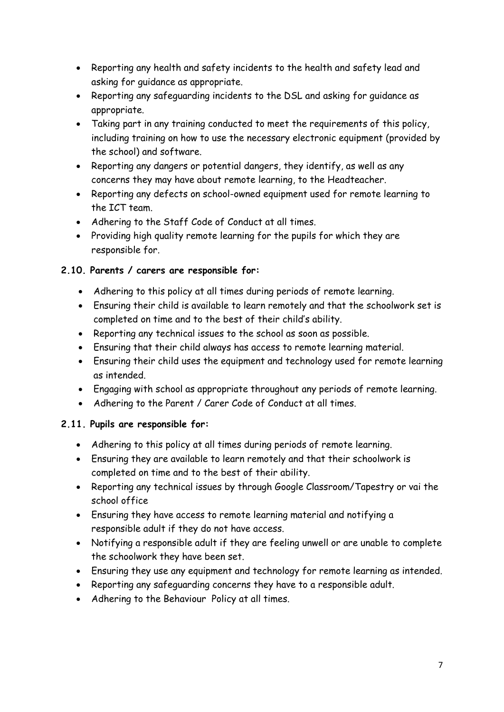- Reporting any health and safety incidents to the health and safety lead and asking for guidance as appropriate.
- Reporting any safeguarding incidents to the DSL and asking for guidance as appropriate.
- Taking part in any training conducted to meet the requirements of this policy, including training on how to use the necessary electronic equipment (provided by the school) and software.
- Reporting any dangers or potential dangers, they identify, as well as any concerns they may have about remote learning, to the Headteacher.
- Reporting any defects on school-owned equipment used for remote learning to the ICT team.
- Adhering to the Staff Code of Conduct at all times.
- Providing high quality remote learning for the pupils for which they are responsible for.

## **2.10. Parents / carers are responsible for:**

- Adhering to this policy at all times during periods of remote learning.
- Ensuring their child is available to learn remotely and that the schoolwork set is completed on time and to the best of their child's ability.
- Reporting any technical issues to the school as soon as possible.
- Ensuring that their child always has access to remote learning material.
- Ensuring their child uses the equipment and technology used for remote learning as intended.
- Engaging with school as appropriate throughout any periods of remote learning.
- Adhering to the Parent / Carer Code of Conduct at all times.

## **2.11. Pupils are responsible for:**

- Adhering to this policy at all times during periods of remote learning.
- Ensuring they are available to learn remotely and that their schoolwork is completed on time and to the best of their ability.
- Reporting any technical issues by through Google Classroom/Tapestry or vai the school office
- Ensuring they have access to remote learning material and notifying a responsible adult if they do not have access.
- Notifying a responsible adult if they are feeling unwell or are unable to complete the schoolwork they have been set.
- Ensuring they use any equipment and technology for remote learning as intended.
- Reporting any safeguarding concerns they have to a responsible adult.
- Adhering to the Behaviour Policy at all times.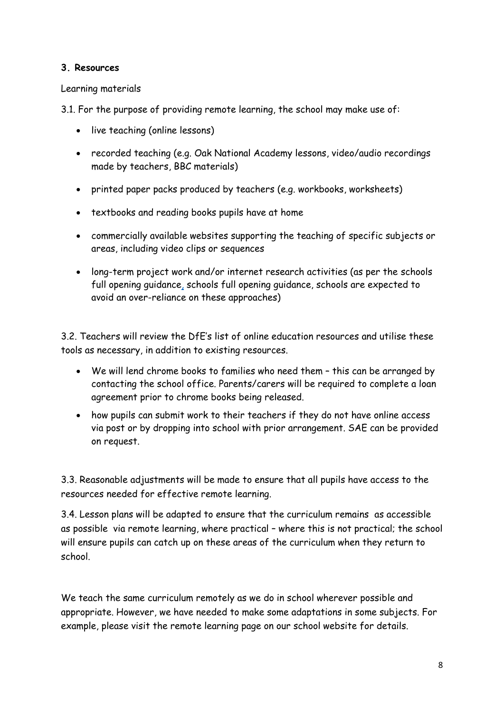#### **3. Resources**

Learning materials

3.1. For the purpose of providing remote learning, the school may make use of:

- live teaching (online lessons)
- recorded teaching (e.g. Oak National Academy lessons, video/audio recordings made by teachers, BBC materials)
- printed paper packs produced by teachers (e.g. workbooks, worksheets)
- textbooks and reading books pupils have at home
- commercially available websites supporting the teaching of specific subjects or areas, including video clips or sequences
- long-term project work and/or internet research activities (as per the [schools](https://www.gov.uk/government/publications/actions-for-schools-during-the-coronavirus-outbreak/guidance-for-full-opening-schools#res)  [full opening guidance,](https://www.gov.uk/government/publications/actions-for-schools-during-the-coronavirus-outbreak/guidance-for-full-opening-schools#res) schools full opening guidance, schools are expected to avoid an over-reliance on these approaches)

3.2. Teachers will review the DfE's list of online education resources and utilise these tools as necessary, in addition to existing resources.

- We will lend chrome books to families who need them this can be arranged by contacting the school office. Parents/carers will be required to complete a loan agreement prior to chrome books being released.
- how pupils can submit work to their teachers if they do not have online access via post or by dropping into school with prior arrangement. SAE can be provided on request.

3.3. Reasonable adjustments will be made to ensure that all pupils have access to the resources needed for effective remote learning.

3.4. Lesson plans will be adapted to ensure that the curriculum remains as accessible as possible via remote learning, where practical – where this is not practical; the school will ensure pupils can catch up on these areas of the curriculum when they return to school.

We teach the same curriculum remotely as we do in school wherever possible and appropriate. However, we have needed to make some adaptations in some subjects. For example, please visit the remote learning page on our school website for details.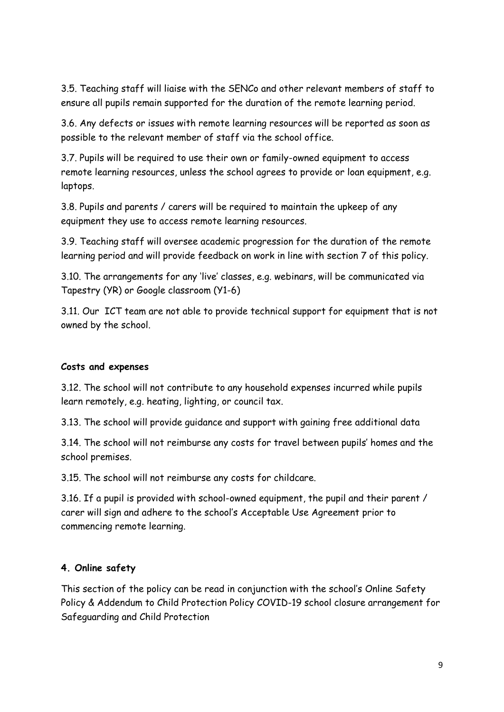3.5. Teaching staff will liaise with the SENCo and other relevant members of staff to ensure all pupils remain supported for the duration of the remote learning period.

3.6. Any defects or issues with remote learning resources will be reported as soon as possible to the relevant member of staff via the school office.

3.7. Pupils will be required to use their own or family-owned equipment to access remote learning resources, unless the school agrees to provide or loan equipment, e.g. laptops.

3.8. Pupils and parents / carers will be required to maintain the upkeep of any equipment they use to access remote learning resources.

3.9. Teaching staff will oversee academic progression for the duration of the remote learning period and will provide feedback on work in line with section 7 of this policy.

3.10. The arrangements for any 'live' classes, e.g. webinars, will be communicated via Tapestry (YR) or Google classroom (Y1-6)

3.11. Our ICT team are not able to provide technical support for equipment that is not owned by the school.

## **Costs and expenses**

3.12. The school will not contribute to any household expenses incurred while pupils learn remotely, e.g. heating, lighting, or council tax.

3.13. The school will provide guidance and support with gaining free additional data

3.14. The school will not reimburse any costs for travel between pupils' homes and the school premises.

3.15. The school will not reimburse any costs for childcare.

3.16. If a pupil is provided with school-owned equipment, the pupil and their parent / carer will sign and adhere to the school's Acceptable Use Agreement prior to commencing remote learning.

## **4. Online safety**

This section of the policy can be read in conjunction with the school's Online Safety Policy & Addendum to Child Protection Policy COVID-19 school closure arrangement for Safeguarding and Child Protection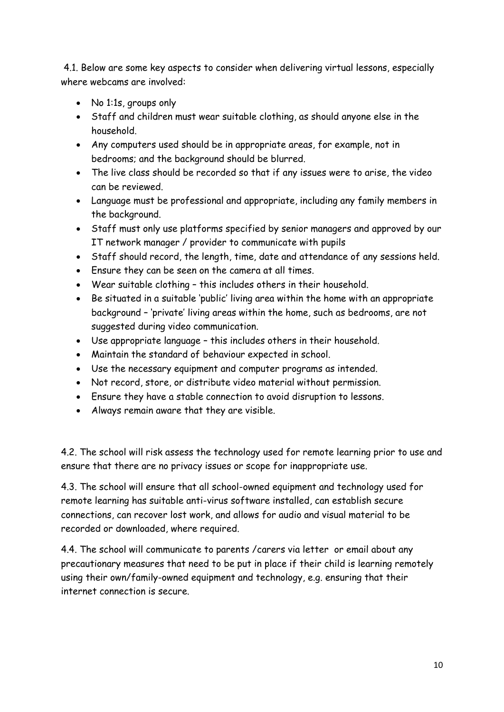4.1. Below are some key aspects to consider when delivering virtual lessons, especially where webcams are involved:

- No 1:1s, groups only
- Staff and children must wear suitable clothing, as should anyone else in the household.
- Any computers used should be in appropriate areas, for example, not in bedrooms; and the background should be blurred.
- The live class should be recorded so that if any issues were to arise, the video can be reviewed.
- Language must be professional and appropriate, including any family members in the background.
- Staff must only use platforms specified by senior managers and approved by our IT network manager / provider to communicate with pupils
- Staff should record, the length, time, date and attendance of any sessions held.
- Ensure they can be seen on the camera at all times.
- Wear suitable clothing this includes others in their household.
- Be situated in a suitable 'public' living area within the home with an appropriate background – 'private' living areas within the home, such as bedrooms, are not suggested during video communication.
- Use appropriate language this includes others in their household.
- Maintain the standard of behaviour expected in school.
- Use the necessary equipment and computer programs as intended.
- Not record, store, or distribute video material without permission.
- Ensure they have a stable connection to avoid disruption to lessons.
- Always remain aware that they are visible.

4.2. The school will risk assess the technology used for remote learning prior to use and ensure that there are no privacy issues or scope for inappropriate use.

4.3. The school will ensure that all school-owned equipment and technology used for remote learning has suitable anti-virus software installed, can establish secure connections, can recover lost work, and allows for audio and visual material to be recorded or downloaded, where required.

4.4. The school will communicate to parents /carers via letter or email about any precautionary measures that need to be put in place if their child is learning remotely using their own/family-owned equipment and technology, e.g. ensuring that their internet connection is secure.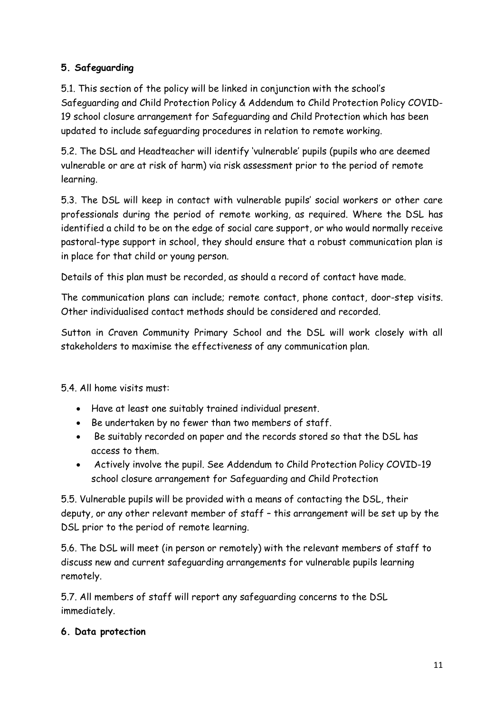# **5. Safeguarding**

5.1. This section of the policy will be linked in conjunction with the school's Safeguarding and Child Protection Policy & Addendum to Child Protection Policy COVID-19 school closure arrangement for Safeguarding and Child Protection which has been updated to include safeguarding procedures in relation to remote working.

5.2. The DSL and Headteacher will identify 'vulnerable' pupils (pupils who are deemed vulnerable or are at risk of harm) via risk assessment prior to the period of remote learning.

5.3. The DSL will keep in contact with vulnerable pupils' social workers or other care professionals during the period of remote working, as required. Where the DSL has identified a child to be on the edge of social care support, or who would normally receive pastoral-type support in school, they should ensure that a robust communication plan is in place for that child or young person.

Details of this plan must be recorded, as should a record of contact have made.

The communication plans can include; remote contact, phone contact, door-step visits. Other individualised contact methods should be considered and recorded.

Sutton in Craven Community Primary School and the DSL will work closely with all stakeholders to maximise the effectiveness of any communication plan.

5.4. All home visits must:

- Have at least one suitably trained individual present.
- Be undertaken by no fewer than two members of staff.
- Be suitably recorded on paper and the records stored so that the DSL has access to them.
- Actively involve the pupil. See Addendum to Child Protection Policy COVID-19 school closure arrangement for Safeguarding and Child Protection

5.5. Vulnerable pupils will be provided with a means of contacting the DSL, their deputy, or any other relevant member of staff – this arrangement will be set up by the DSL prior to the period of remote learning.

5.6. The DSL will meet (in person or remotely) with the relevant members of staff to discuss new and current safeguarding arrangements for vulnerable pupils learning remotely.

5.7. All members of staff will report any safeguarding concerns to the DSL immediately.

# **6. Data protection**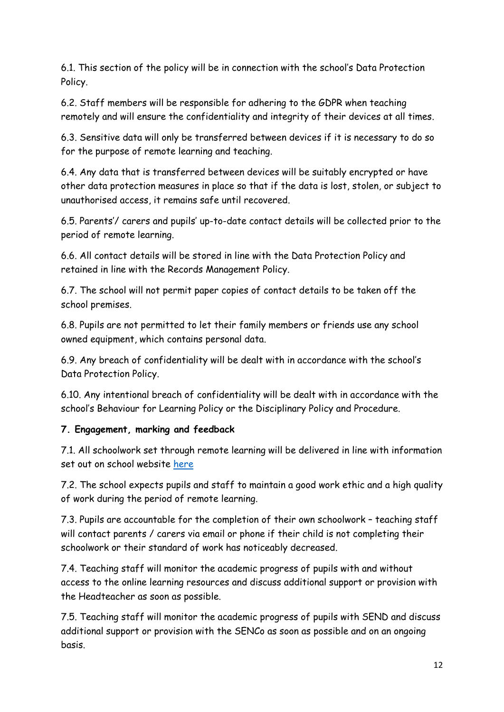6.1. This section of the policy will be in connection with the school's Data Protection Policy.

6.2. Staff members will be responsible for adhering to the GDPR when teaching remotely and will ensure the confidentiality and integrity of their devices at all times.

6.3. Sensitive data will only be transferred between devices if it is necessary to do so for the purpose of remote learning and teaching.

6.4. Any data that is transferred between devices will be suitably encrypted or have other data protection measures in place so that if the data is lost, stolen, or subject to unauthorised access, it remains safe until recovered.

6.5. Parents'/ carers and pupils' up-to-date contact details will be collected prior to the period of remote learning.

6.6. All contact details will be stored in line with the Data Protection Policy and retained in line with the Records Management Policy.

6.7. The school will not permit paper copies of contact details to be taken off the school premises.

6.8. Pupils are not permitted to let their family members or friends use any school owned equipment, which contains personal data.

6.9. Any breach of confidentiality will be dealt with in accordance with the school's Data Protection Policy.

6.10. Any intentional breach of confidentiality will be dealt with in accordance with the school's Behaviour for Learning Policy or the Disciplinary Policy and Procedure.

# **7. Engagement, marking and feedback**

7.1. All schoolwork set through remote learning will be delivered in line with information set out on school website [here](https://www.wherelearnersgrow.co.uk/learning/remote-education-provision)

7.2. The school expects pupils and staff to maintain a good work ethic and a high quality of work during the period of remote learning.

7.3. Pupils are accountable for the completion of their own schoolwork – teaching staff will contact parents / carers via email or phone if their child is not completing their schoolwork or their standard of work has noticeably decreased.

7.4. Teaching staff will monitor the academic progress of pupils with and without access to the online learning resources and discuss additional support or provision with the Headteacher as soon as possible.

7.5. Teaching staff will monitor the academic progress of pupils with SEND and discuss additional support or provision with the SENCo as soon as possible and on an ongoing basis.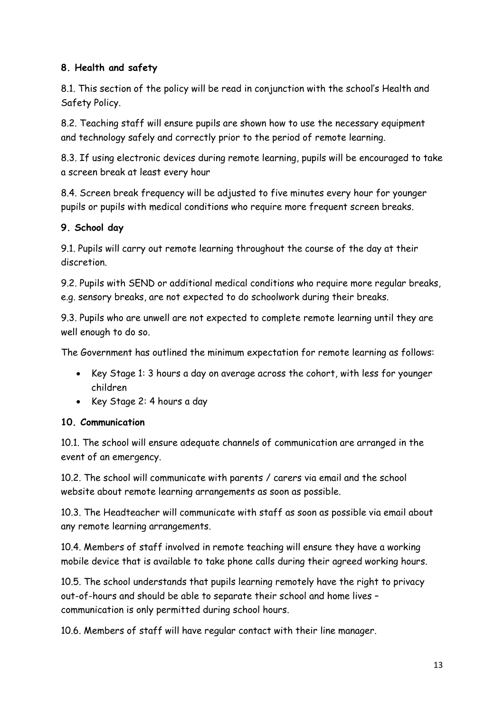## **8. Health and safety**

8.1. This section of the policy will be read in conjunction with the school's Health and Safety Policy.

8.2. Teaching staff will ensure pupils are shown how to use the necessary equipment and technology safely and correctly prior to the period of remote learning.

8.3. If using electronic devices during remote learning, pupils will be encouraged to take a screen break at least every hour

8.4. Screen break frequency will be adjusted to five minutes every hour for younger pupils or pupils with medical conditions who require more frequent screen breaks.

## **9. School day**

9.1. Pupils will carry out remote learning throughout the course of the day at their discretion.

9.2. Pupils with SEND or additional medical conditions who require more regular breaks, e.g. sensory breaks, are not expected to do schoolwork during their breaks.

9.3. Pupils who are unwell are not expected to complete remote learning until they are well enough to do so.

The Government has outlined the minimum expectation for remote learning as follows:

- Key Stage 1: 3 hours a day on average across the cohort, with less for younger children
- Key Stage 2: 4 hours a day

## **10. Communication**

10.1. The school will ensure adequate channels of communication are arranged in the event of an emergency.

10.2. The school will communicate with parents / carers via email and the school website about remote learning arrangements as soon as possible.

10.3. The Headteacher will communicate with staff as soon as possible via email about any remote learning arrangements.

10.4. Members of staff involved in remote teaching will ensure they have a working mobile device that is available to take phone calls during their agreed working hours.

10.5. The school understands that pupils learning remotely have the right to privacy out-of-hours and should be able to separate their school and home lives – communication is only permitted during school hours.

10.6. Members of staff will have regular contact with their line manager.